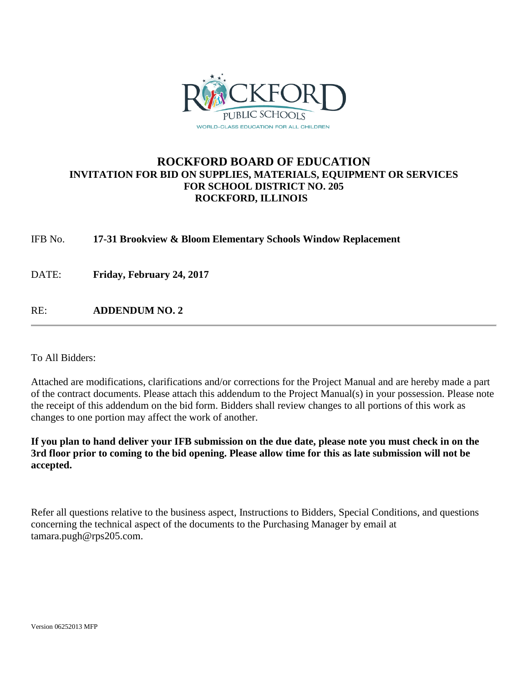

# **ROCKFORD BOARD OF EDUCATION INVITATION FOR BID ON SUPPLIES, MATERIALS, EQUIPMENT OR SERVICES FOR SCHOOL DISTRICT NO. 205 ROCKFORD, ILLINOIS**

IFB No. **17-31 Brookview & Bloom Elementary Schools Window Replacement**

DATE: **Friday, February 24, 2017**

RE: **ADDENDUM NO. 2**

To All Bidders:

Attached are modifications, clarifications and/or corrections for the Project Manual and are hereby made a part of the contract documents. Please attach this addendum to the Project Manual(s) in your possession. Please note the receipt of this addendum on the bid form. Bidders shall review changes to all portions of this work as changes to one portion may affect the work of another.

**If you plan to hand deliver your IFB submission on the due date, please note you must check in on the 3rd floor prior to coming to the bid opening. Please allow time for this as late submission will not be accepted.**

Refer all questions relative to the business aspect, Instructions to Bidders, Special Conditions, and questions concerning the technical aspect of the documents to the Purchasing Manager by email at tamara.pugh@rps205.com.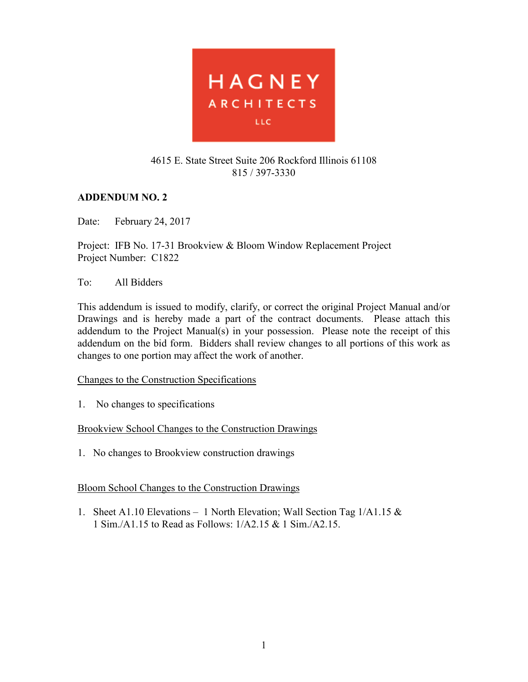

#### 4615 E. State Street Suite 206 Rockford Illinois 61108 815 / 397-3330

## **ADDENDUM NO. 2**

Date: February 24, 2017

Project: IFB No. 17-31 Brookview & Bloom Window Replacement Project Project Number: C1822

### To: All Bidders

This addendum is issued to modify, clarify, or correct the original Project Manual and/or Drawings and is hereby made a part of the contract documents. Please attach this addendum to the Project Manual(s) in your possession. Please note the receipt of this addendum on the bid form. Bidders shall review changes to all portions of this work as changes to one portion may affect the work of another.

### Changes to the Construction Specifications

1. No changes to specifications

### Brookview School Changes to the Construction Drawings

1. No changes to Brookview construction drawings

### Bloom School Changes to the Construction Drawings

1. Sheet A1.10 Elevations – 1 North Elevation; Wall Section Tag  $1/A1.15 \&$ 1 Sim./A1.15 to Read as Follows: 1/A2.15 & 1 Sim./A2.15.